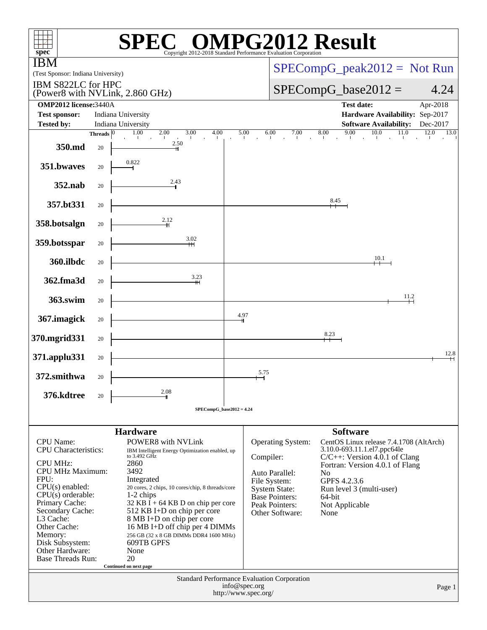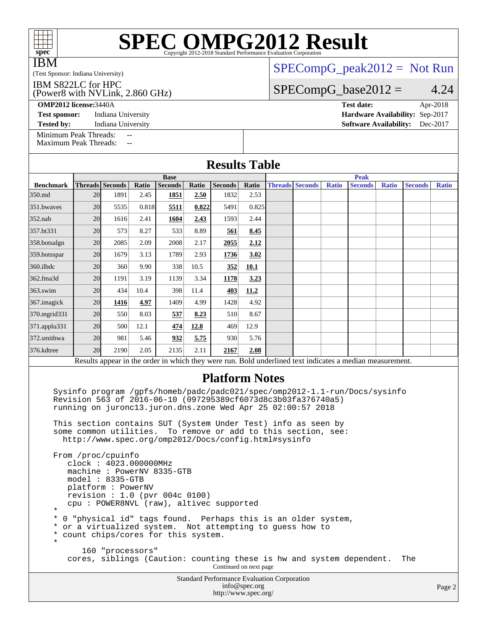| <b>SPEC OMPG2012 Result</b><br>$spec^*$<br>Copyright 2012-2018 Standard Performance Evaluation Corporation |                               |          |
|------------------------------------------------------------------------------------------------------------|-------------------------------|----------|
| <b>IBM</b><br>(Test Sponsor: Indiana University)                                                           | $SPECompG_peak2012 = Not Run$ |          |
| IBM S822LC for HPC<br>(Power8 with NVLink, 2.860 GHz)                                                      | $SPECompG_base2012 =$         | 4.24     |
| <b>OMP2012 license: 3440A</b>                                                                              | <b>Test date:</b>             | Apr-2018 |

[Minimum Peak Threads:](http://www.spec.org/auto/omp2012/Docs/result-fields.html#MinimumPeakThreads) --

[Maximum Peak Threads:](http://www.spec.org/auto/omp2012/Docs/result-fields.html#MaximumPeakThreads)

**[Test sponsor:](http://www.spec.org/auto/omp2012/Docs/result-fields.html#Testsponsor)** Indiana University **[Hardware Availability:](http://www.spec.org/auto/omp2012/Docs/result-fields.html#HardwareAvailability)** Sep-2017 **[Tested by:](http://www.spec.org/auto/omp2012/Docs/result-fields.html#Testedby)** Indiana University **[Software Availability:](http://www.spec.org/auto/omp2012/Docs/result-fields.html#SoftwareAvailability)** Dec-2017

| <b>Results Table</b>                                                                                     |             |                 |       |                |       |                |       |             |                        |              |                |              |                |              |
|----------------------------------------------------------------------------------------------------------|-------------|-----------------|-------|----------------|-------|----------------|-------|-------------|------------------------|--------------|----------------|--------------|----------------|--------------|
|                                                                                                          | <b>Base</b> |                 |       |                |       |                |       | <b>Peak</b> |                        |              |                |              |                |              |
| <b>Benchmark</b>                                                                                         |             | Threads Seconds | Ratio | <b>Seconds</b> | Ratio | <b>Seconds</b> | Ratio |             | <b>Threads Seconds</b> | <b>Ratio</b> | <b>Seconds</b> | <b>Ratio</b> | <b>Seconds</b> | <b>Ratio</b> |
| 350.md                                                                                                   | 20          | 1891            | 2.45  | 1851           | 2.50  | 1832           | 2.53  |             |                        |              |                |              |                |              |
| 351.bwayes                                                                                               | 20          | 5535            | 0.818 | 5511           | 0.822 | 5491           | 0.825 |             |                        |              |                |              |                |              |
| 352.nab                                                                                                  | 20          | 1616            | 2.41  | 1604           | 2.43  | 1593           | 2.44  |             |                        |              |                |              |                |              |
| 357.bt331                                                                                                | 20          | 573             | 8.27  | 533            | 8.89  | 561            | 8.45  |             |                        |              |                |              |                |              |
| 358.botsalgn                                                                                             | 20          | 2085            | 2.09  | 2008           | 2.17  | 2055           | 2.12  |             |                        |              |                |              |                |              |
| 359.botsspar                                                                                             | 20          | 1679            | 3.13  | 1789           | 2.93  | 1736           | 3.02  |             |                        |              |                |              |                |              |
| 360.ilbdc                                                                                                | 20          | 360             | 9.90  | 338            | 10.5  | 352            | 10.1  |             |                        |              |                |              |                |              |
| 362.fma3d                                                                                                | 20          | 1191            | 3.19  | 1139           | 3.34  | 1178           | 3.23  |             |                        |              |                |              |                |              |
| $363$ .swim                                                                                              | 20          | 434             | 10.4  | 398            | 11.4  | 403            | 11.2  |             |                        |              |                |              |                |              |
| 367.imagick                                                                                              | 20          | 1416            | 4.97  | 1409           | 4.99  | 1428           | 4.92  |             |                        |              |                |              |                |              |
| 370.mgrid331                                                                                             | 20          | 550             | 8.03  | 537            | 8.23  | 510            | 8.67  |             |                        |              |                |              |                |              |
| 371.applu331                                                                                             | 20          | 500             | 12.1  | 474            | 12.8  | 469            | 12.9  |             |                        |              |                |              |                |              |
| 372.smithwa                                                                                              | 20          | 981             | 5.46  | 932            | 5.75  | 930            | 5.76  |             |                        |              |                |              |                |              |
| 376.kdtree                                                                                               | 20          | 2190            | 2.05  | 2135           | 2.11  | 2167           | 2.08  |             |                        |              |                |              |                |              |
| Results appear in the order in which they were run. Bold underlined text indicates a median measurement. |             |                 |       |                |       |                |       |             |                        |              |                |              |                |              |
| <b>Platform Notes</b>                                                                                    |             |                 |       |                |       |                |       |             |                        |              |                |              |                |              |

 Sysinfo program /gpfs/homeb/padc/padc021/spec/omp2012-1.1-run/Docs/sysinfo Revision 563 of 2016-06-10 (097295389cf6073d8c3b03fa376740a5) running on juronc13.juron.dns.zone Wed Apr 25 02:00:57 2018

 This section contains SUT (System Under Test) info as seen by some common utilities. To remove or add to this section, see: <http://www.spec.org/omp2012/Docs/config.html#sysinfo>

 From /proc/cpuinfo clock : 4023.000000MHz machine : PowerNV 8335-GTB model : 8335-GTB platform : PowerNV revision : 1.0 (pvr 004c 0100) cpu : POWER8NVL (raw), altivec supported \* \* 0 "physical id" tags found. Perhaps this is an older system, \* or a virtualized system. Not attempting to guess how to \* count chips/cores for this system. \* 160 "processors" cores, siblings (Caution: counting these is hw and system dependent. The Continued on next page

Standard Performance Evaluation Corporation [info@spec.org](mailto:info@spec.org) <http://www.spec.org/>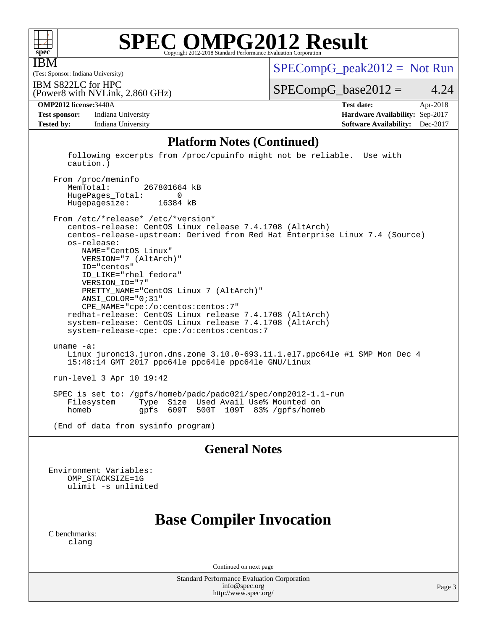

IBM

# **[SPEC OMPG2012 Result](http://www.spec.org/auto/omp2012/Docs/result-fields.html#SPECOMPG2012Result)**

(Test Sponsor: Indiana University)

 $SPECompG_peak2012 = Not Run$  $SPECompG_peak2012 = Not Run$ 

(Power8 with NVLink, 2.860 GHz) IBM S822LC for HPC

 $SPECompG_base2012 = 4.24$  $SPECompG_base2012 = 4.24$ 

**[Test sponsor:](http://www.spec.org/auto/omp2012/Docs/result-fields.html#Testsponsor)** Indiana University **[Hardware Availability:](http://www.spec.org/auto/omp2012/Docs/result-fields.html#HardwareAvailability)** Sep-2017 **[Tested by:](http://www.spec.org/auto/omp2012/Docs/result-fields.html#Testedby)** Indiana University **[Software Availability:](http://www.spec.org/auto/omp2012/Docs/result-fields.html#SoftwareAvailability)** Dec-2017

**[OMP2012 license:](http://www.spec.org/auto/omp2012/Docs/result-fields.html#OMP2012license)**3440A **[Test date:](http://www.spec.org/auto/omp2012/Docs/result-fields.html#Testdate)** Apr-2018

#### **[Platform Notes \(Continued\)](http://www.spec.org/auto/omp2012/Docs/result-fields.html#PlatformNotes)**

 following excerpts from /proc/cpuinfo might not be reliable. Use with caution.)

From /proc/meminfo<br>MemTotal: 267801664 kB HugePages\_Total: 0 Hugepagesize: 16384 kB

 From /etc/\*release\* /etc/\*version\* centos-release: CentOS Linux release 7.4.1708 (AltArch) centos-release-upstream: Derived from Red Hat Enterprise Linux 7.4 (Source) os-release: NAME="CentOS Linux" VERSION="7 (AltArch)" ID="centos" ID\_LIKE="rhel fedora" VERSION\_ID="7" PRETTY\_NAME="CentOS Linux 7 (AltArch)" ANSI\_COLOR="0;31" CPE\_NAME="cpe:/o:centos:centos:7" redhat-release: CentOS Linux release 7.4.1708 (AltArch) system-release: CentOS Linux release 7.4.1708 (AltArch) system-release-cpe: cpe:/o:centos:centos:7 uname -a: Linux juronc13.juron.dns.zone 3.10.0-693.11.1.el7.ppc64le #1 SMP Mon Dec 4 15:48:14 GMT 2017 ppc64le ppc64le ppc64le GNU/Linux run-level 3 Apr 10 19:42 SPEC is set to: /gpfs/homeb/padc/padc021/spec/omp2012-1.1-run

Type Size Used Avail Use% Mounted on homeb gpfs 609T 500T 109T 83% /gpfs/homeb

(End of data from sysinfo program)

#### **[General Notes](http://www.spec.org/auto/omp2012/Docs/result-fields.html#GeneralNotes)**

Environment Variables: OMP\_STACKSIZE=1G ulimit -s unlimited

## **[Base Compiler Invocation](http://www.spec.org/auto/omp2012/Docs/result-fields.html#BaseCompilerInvocation)**

[C benchmarks](http://www.spec.org/auto/omp2012/Docs/result-fields.html#Cbenchmarks): [clang](http://www.spec.org/omp2012/results/res2018q2/omp2012-20180605-00146.flags.html#user_CCbase_clang_2c5517db7bc397f9b14ae357a7ce54ff)

Continued on next page

Standard Performance Evaluation Corporation [info@spec.org](mailto:info@spec.org) <http://www.spec.org/>

Page 3